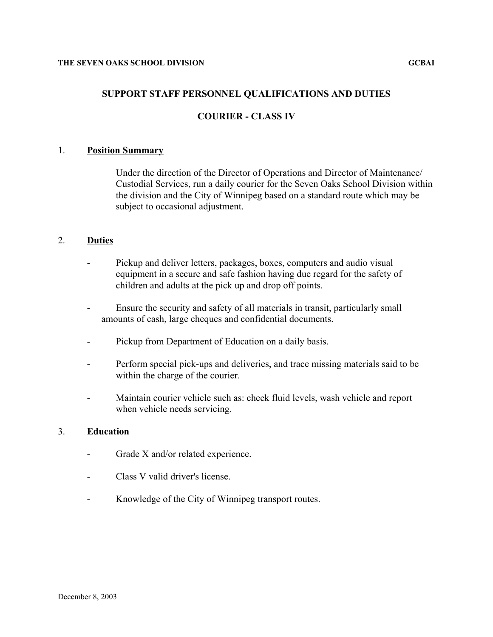# **SUPPORT STAFF PERSONNEL QUALIFICATIONS AND DUTIES**

## **COURIER - CLASS IV**

### 1. **Position Summary**

Under the direction of the Director of Operations and Director of Maintenance/ Custodial Services, run a daily courier for the Seven Oaks School Division within the division and the City of Winnipeg based on a standard route which may be subject to occasional adjustment.

## 2. **Duties**

- Pickup and deliver letters, packages, boxes, computers and audio visual equipment in a secure and safe fashion having due regard for the safety of children and adults at the pick up and drop off points.
- Ensure the security and safety of all materials in transit, particularly small amounts of cash, large cheques and confidential documents.
- Pickup from Department of Education on a daily basis.
- Perform special pick-ups and deliveries, and trace missing materials said to be within the charge of the courier.
- Maintain courier vehicle such as: check fluid levels, wash vehicle and report when vehicle needs servicing.

#### 3. **Education**

- Grade X and/or related experience.
- Class V valid driver's license.
- Knowledge of the City of Winnipeg transport routes.